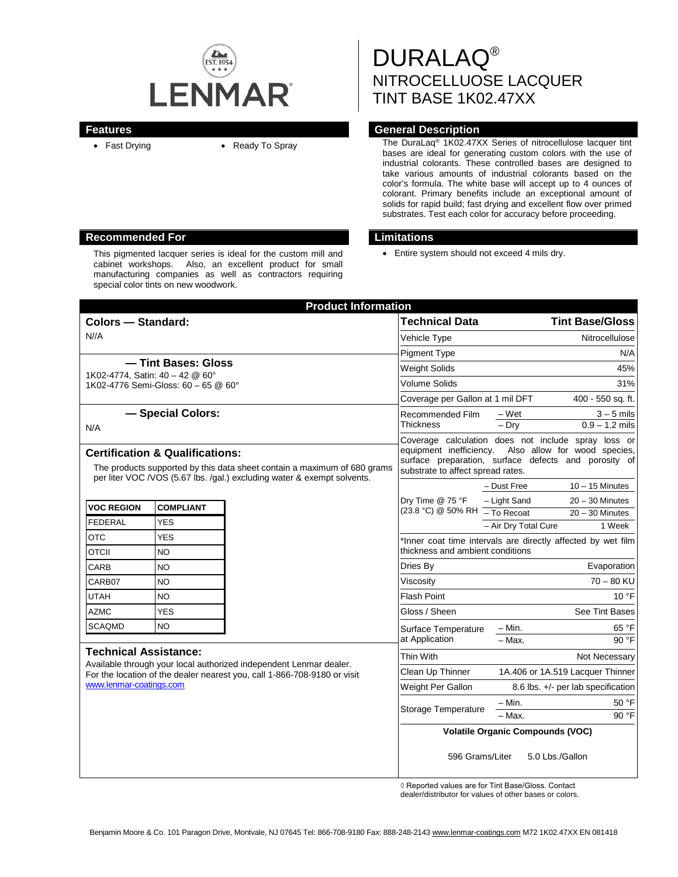

DURALAQ® NITROCELLUOSE LACQUER TINT BASE 1K02.47XX

# **Features General Description**

• Fast Drying • Ready To Spray The DuraLaq<sup>®</sup> 1K02.47XX Series of nitrocellulose lacquer tint bases are ideal for generating custom colors with the use of industrial colorants. These controlled bases are designed to take various amounts of industrial colorants based on the color's formula. The white base will accept up to 4 ounces of colorant. Primary benefits include an exceptional amount of solids for rapid build; fast drying and excellent flow over primed substrates. Test each color for accuracy before proceeding.

• Entire system should not exceed 4 mils dry.

| <b>Product Information</b>                                                                                                                                                                                |                  |                            |                                                                                                                |                                    |                   |
|-----------------------------------------------------------------------------------------------------------------------------------------------------------------------------------------------------------|------------------|----------------------------|----------------------------------------------------------------------------------------------------------------|------------------------------------|-------------------|
| <b>Colors - Standard:</b>                                                                                                                                                                                 |                  |                            | <b>Technical Data</b>                                                                                          | <b>Tint Base/Gloss</b>             |                   |
| N//A                                                                                                                                                                                                      |                  |                            | Vehicle Type                                                                                                   | Nitrocellulose                     |                   |
|                                                                                                                                                                                                           |                  |                            | <b>Pigment Type</b>                                                                                            | N/A                                |                   |
| - Tint Bases: Gloss<br>1K02-4774, Satin: 40 - 42 @ 60°                                                                                                                                                    |                  |                            | <b>Weight Solids</b>                                                                                           | 45%                                |                   |
| 1K02-4776 Semi-Gloss: 60 - 65 @ 60°                                                                                                                                                                       |                  |                            | Volume Solids                                                                                                  | 31%                                |                   |
|                                                                                                                                                                                                           |                  |                            | Coverage per Gallon at 1 mil DFT                                                                               | 400 - 550 sq. ft.                  |                   |
| - Special Colors:                                                                                                                                                                                         |                  |                            | Recommended Film                                                                                               | – Wet                              | $3 - 5$ mils      |
| N/A                                                                                                                                                                                                       |                  |                            | Thickness                                                                                                      | $-$ Drv                            | $0.9 - 1.2$ mils  |
|                                                                                                                                                                                                           |                  |                            | Coverage calculation does not include spray loss or<br>equipment inefficiency.<br>Also allow for wood species, |                                    |                   |
| <b>Certification &amp; Qualifications:</b>                                                                                                                                                                |                  |                            | surface preparation, surface defects and porosity of                                                           |                                    |                   |
| The products supported by this data sheet contain a maximum of 680 grams<br>per liter VOC /VOS (5.67 lbs. /gal.) excluding water & exempt solvents.                                                       |                  |                            | substrate to affect spread rates.                                                                              |                                    |                   |
|                                                                                                                                                                                                           |                  |                            |                                                                                                                | – Dust Free                        | $10 - 15$ Minutes |
| <b>VOC REGION</b>                                                                                                                                                                                         | <b>COMPLIANT</b> |                            | Dry Time @ 75 °F                                                                                               | - Light Sand                       | $20 - 30$ Minutes |
| <b>FEDERAL</b>                                                                                                                                                                                            | <b>YES</b>       |                            | (23.8 °C) @ 50% RH - To Recoat                                                                                 |                                    | $20 - 30$ Minutes |
| <b>OTC</b>                                                                                                                                                                                                | <b>YES</b>       |                            |                                                                                                                | - Air Dry Total Cure               | 1 Week            |
| OTCII                                                                                                                                                                                                     | NO.              |                            | *Inner coat time intervals are directly affected by wet film<br>thickness and ambient conditions               |                                    |                   |
| CARB                                                                                                                                                                                                      | <b>NO</b>        |                            | Dries By                                                                                                       |                                    | Evaporation       |
| CARB07                                                                                                                                                                                                    | NO               |                            | Viscosity                                                                                                      |                                    | $70 - 80$ KU      |
| UTAH                                                                                                                                                                                                      | NO               |                            | <b>Flash Point</b>                                                                                             |                                    | 10 °F             |
| <b>AZMC</b>                                                                                                                                                                                               | <b>YES</b>       |                            | Gloss / Sheen                                                                                                  |                                    | See Tint Bases    |
| <b>SCAQMD</b>                                                                                                                                                                                             | N <sub>O</sub>   |                            | Surface Temperature                                                                                            | $- Min.$                           | 65 °F             |
|                                                                                                                                                                                                           |                  |                            | at Application                                                                                                 | $-$ Max.                           | 90 °F             |
| <b>Technical Assistance:</b><br>Available through your local authorized independent Lenmar dealer.<br>For the location of the dealer nearest you, call 1-866-708-9180 or visit<br>www.lenmar-coatings.com |                  |                            | Thin With                                                                                                      |                                    | Not Necessary     |
|                                                                                                                                                                                                           |                  |                            | Clean Up Thinner                                                                                               | 1A.406 or 1A.519 Lacquer Thinner   |                   |
|                                                                                                                                                                                                           |                  |                            | Weight Per Gallon                                                                                              | 8.6 lbs. +/- per lab specification |                   |
|                                                                                                                                                                                                           |                  | <b>Storage Temperature</b> | – Min.                                                                                                         | 50 °F                              |                   |
|                                                                                                                                                                                                           |                  |                            | - Max.                                                                                                         | 90 °F                              |                   |
|                                                                                                                                                                                                           |                  |                            | <b>Volatile Organic Compounds (VOC)</b>                                                                        |                                    |                   |
|                                                                                                                                                                                                           |                  |                            | 596 Grams/Liter<br>5.0 Lbs./Gallon                                                                             |                                    |                   |

◊ Reported values are for Tint Base/Gloss. Contact

dealer/distributor for values of other bases or colors.

## **Recommended For Limitations**

This pigmented lacquer series is ideal for the custom mill and cabinet workshops. Also, an excellent product for small manufacturing companies as well as contractors requiring special color tints on new woodwork.